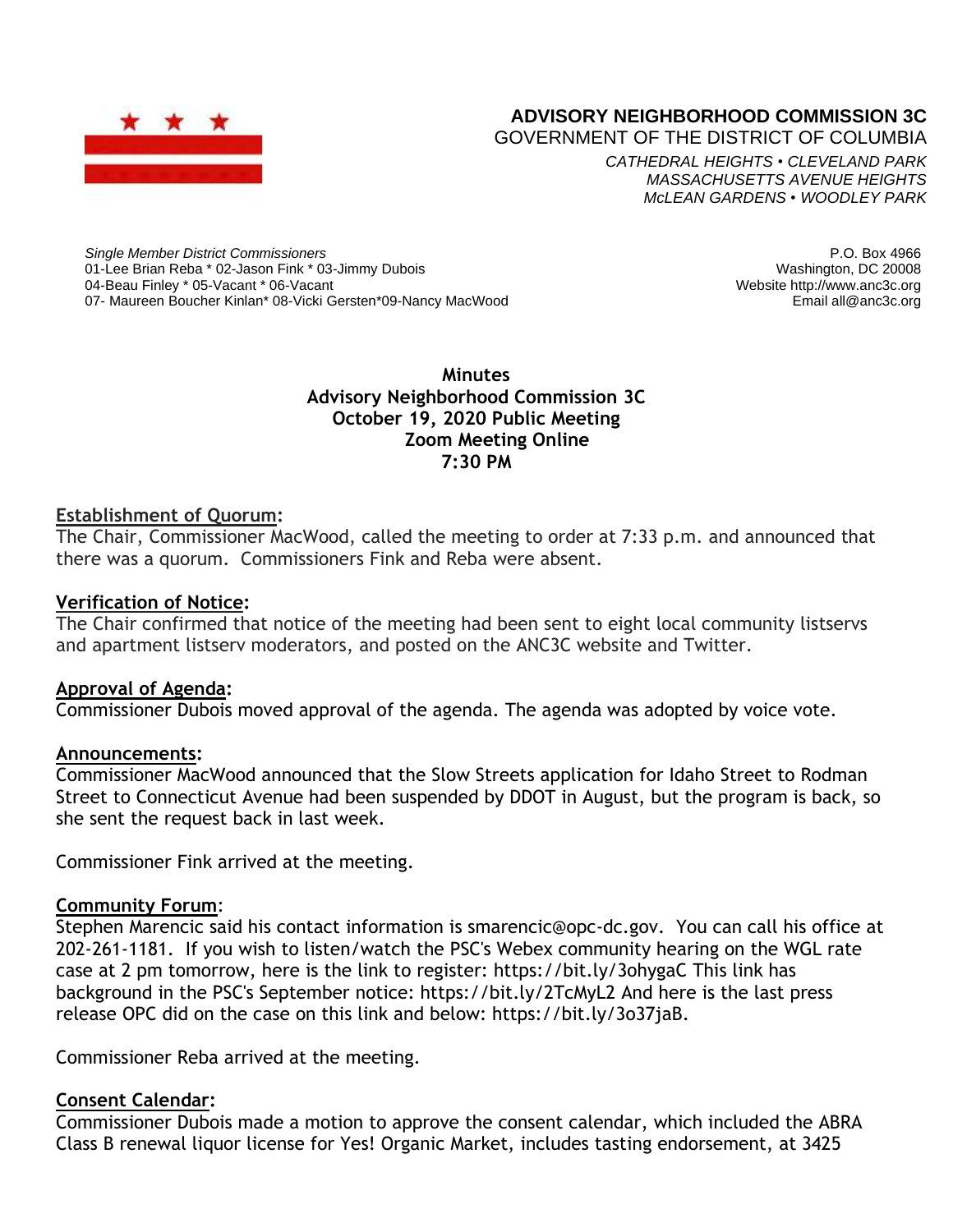

# **ADVISORY NEIGHBORHOOD COMMISSION 3C**

GOVERNMENT OF THE DISTRICT OF COLUMBIA

*CATHEDRAL HEIGHTS* • *CLEVELAND PARK MASSACHUSETTS AVENUE HEIGHTS McLEAN GARDENS* • *WOODLEY PARK*

*Single Member District Commissioners* 01-Lee Brian Reba \* 02-Jason Fink \* 03-Jimmy Dubois 04-Beau Finley \* 05-Vacant \* 06-Vacant 07- Maureen Boucher Kinlan\* 08-Vicki Gersten\*09-Nancy MacWood

P.O. Box 4966 Washington, DC 20008 Website http://www.anc3c.org Email all@anc3c.org

**Minutes Advisory Neighborhood Commission 3C October 19, 2020 Public Meeting Zoom Meeting Online 7:30 PM**

#### **Establishment of Quorum:**

The Chair, Commissioner MacWood, called the meeting to order at 7:33 p.m. and announced that there was a quorum. Commissioners Fink and Reba were absent.

## **Verification of Notice:**

The Chair confirmed that notice of the meeting had been sent to eight local community listservs and apartment listserv moderators, and posted on the ANC3C website and Twitter.

## **Approval of Agenda:**

Commissioner Dubois moved approval of the agenda. The agenda was adopted by voice vote.

#### **Announcements:**

Commissioner MacWood announced that the Slow Streets application for Idaho Street to Rodman Street to Connecticut Avenue had been suspended by DDOT in August, but the program is back, so she sent the request back in last week.

Commissioner Fink arrived at the meeting.

## **Community Forum**:

Stephen Marencic said his contact information is smarencic@opc-dc.gov. You can call his office at 202-261-1181. If you wish to listen/watch the PSC's Webex community hearing on the WGL rate case at 2 pm tomorrow, here is the link to register: https://bit.ly/3ohygaC This link has background in the PSC's September notice: https://bit.ly/2TcMyL2 And here is the last press release OPC did on the case on this link and below: https://bit.ly/3o37jaB.

Commissioner Reba arrived at the meeting.

## **Consent Calendar:**

Commissioner Dubois made a motion to approve the consent calendar, which included the ABRA Class B renewal liquor license for Yes! Organic Market, includes tasting endorsement, at 3425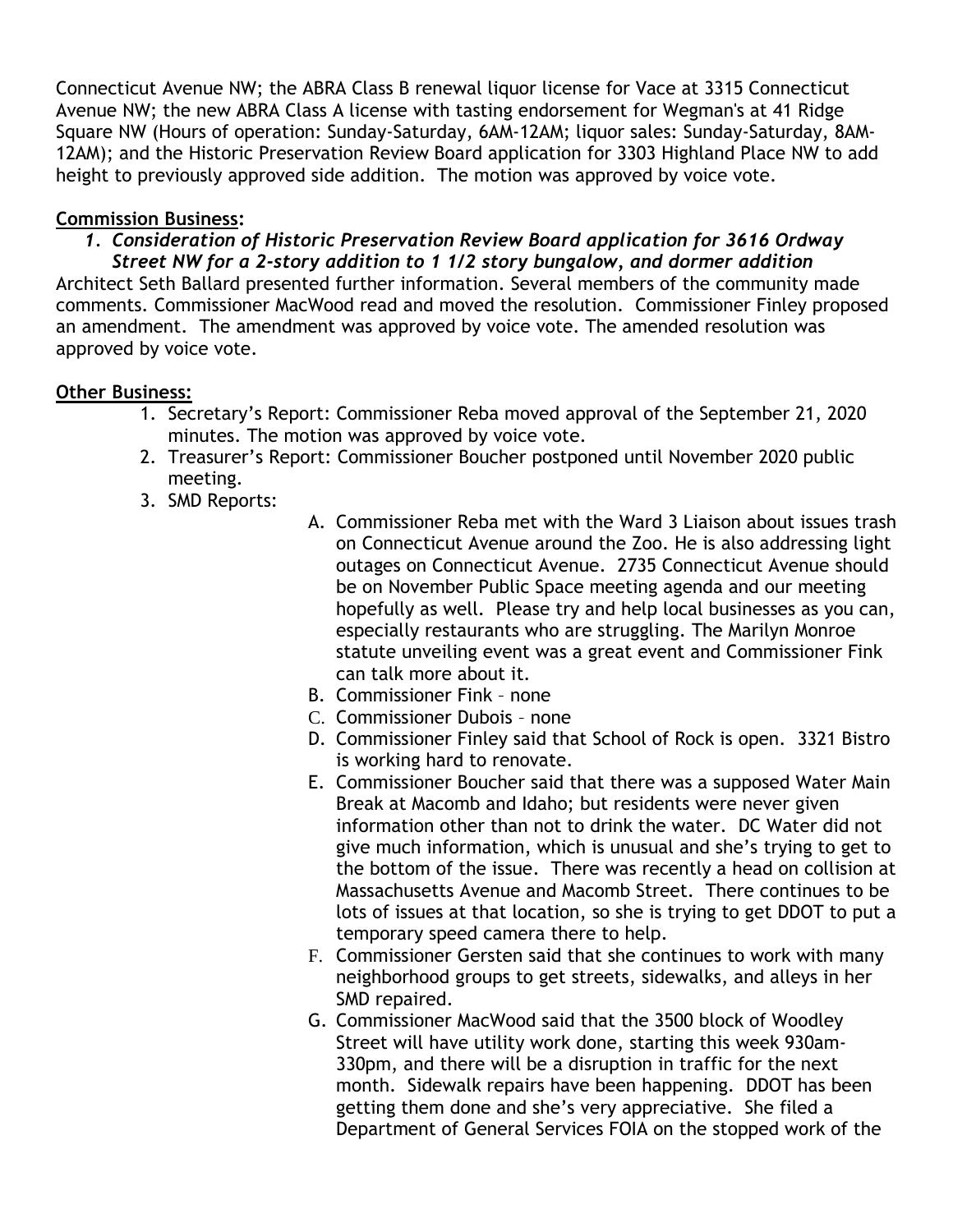Connecticut Avenue NW; the ABRA Class B renewal liquor license for Vace at 3315 Connecticut Avenue NW; the new ABRA Class A license with tasting endorsement for Wegman's at 41 Ridge Square NW (Hours of operation: Sunday-Saturday, 6AM-12AM; liquor sales: Sunday-Saturday, 8AM-12AM); and the Historic Preservation Review Board application for 3303 Highland Place NW to add height to previously approved side addition. The motion was approved by voice vote.

# **Commission Business:**

*1. Consideration of Historic Preservation Review Board application for 3616 Ordway Street NW for a 2-story addition to 1 1/2 story bungalow, and dormer addition*

Architect Seth Ballard presented further information. Several members of the community made comments. Commissioner MacWood read and moved the resolution. Commissioner Finley proposed an amendment. The amendment was approved by voice vote. The amended resolution was approved by voice vote.

# **Other Business:**

- 1. Secretary's Report: Commissioner Reba moved approval of the September 21, 2020 minutes. The motion was approved by voice vote.
- 2. Treasurer's Report: Commissioner Boucher postponed until November 2020 public meeting.
- 3. SMD Reports:
- A. Commissioner Reba met with the Ward 3 Liaison about issues trash on Connecticut Avenue around the Zoo. He is also addressing light outages on Connecticut Avenue. 2735 Connecticut Avenue should be on November Public Space meeting agenda and our meeting hopefully as well. Please try and help local businesses as you can, especially restaurants who are struggling. The Marilyn Monroe statute unveiling event was a great event and Commissioner Fink can talk more about it.
- B. Commissioner Fink none
- C. Commissioner Dubois none
- D. Commissioner Finley said that School of Rock is open. 3321 Bistro is working hard to renovate.
- E. Commissioner Boucher said that there was a supposed Water Main Break at Macomb and Idaho; but residents were never given information other than not to drink the water. DC Water did not give much information, which is unusual and she's trying to get to the bottom of the issue. There was recently a head on collision at Massachusetts Avenue and Macomb Street. There continues to be lots of issues at that location, so she is trying to get DDOT to put a temporary speed camera there to help.
- F. Commissioner Gersten said that she continues to work with many neighborhood groups to get streets, sidewalks, and alleys in her SMD repaired.
- G. Commissioner MacWood said that the 3500 block of Woodley Street will have utility work done, starting this week 930am-330pm, and there will be a disruption in traffic for the next month. Sidewalk repairs have been happening. DDOT has been getting them done and she's very appreciative. She filed a Department of General Services FOIA on the stopped work of the